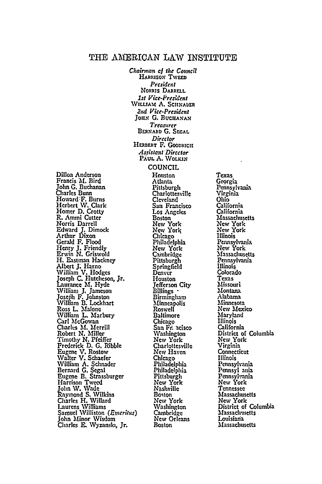# THE AMERICAN LAW INSTITUTE *Chairman of the Council*

**HARRISON TWEED** *President*

Dillon Anderson Francis **,M.** Bird John **G.** Buchanan Charles Bunn Howard-F. Burns Herbert IV. Clark Homer **D.** Crotty R. Ammi Cutter Norris Darrell Edward J. Dimock Arthur Dixon Gerald F**.** Flood<br>Henry J. Friendly<br>Erwin N. Griswold H. Eastman Hackney Albert **J.** Harno William V. Hodges **JoseplI C.** Hutcheson, Jr. aurance M. Hyde Willian **J.** Jameson Joseih F. Johnston William B. Lockhart Ross L. Malone William L. Marbury Carl McGowan Charles M. Merrill Robert **N.** Miller Timothy N. Pfeiffer Frederick D. **G.** Ribble Eugene V. Rostow Walter V. Schaefer William **A.** Schnader Bernard **G. Segal** Eugene **B.** Strassburger Harrison Tweed John IV. Wade Raymond **S.** Wilkins Charles H. Willard Laurens Williams Samuel Williston *(Enerius)* John Minor Wisdom Charles **E.** Wyzanski, Jr.

**NORris DARRELL** *1st Vice-Presdent* **WILLIAM A. SCHNAUER** *2nd Vice-President* JOHN G. BUCHANAN *Treosrer* BERNARD G. SEGAL Director HERBERT F. GOODRICH *Assistant Director* **PAuL** A. **WOLKI.1** COUNCIL Houston Atlanta Pittsburgh **Charlottesville Cleveland** San Francisco Los Angeles Boston New York New York Chicago Philadelphia New York Cambridge Pittsburgh Springfield Denver Houston<br>Jefferson City Billings **-**<br>Birmingham **Minneapolis** Roswell Baltimore Chicago San Fr. neisco Washington New York Charlottesville New Haven Chicago Philadelphia Philadelphia Pittsburgh *New* York Nashville Boston New York Washington Cambridge New Orleans Boston

Texas Georgia Pennsylvania Virginia **Ohio** California California Massachusetts *New* York New York Illinois Pennsylvania New York Massachusetts Pennsylvania Illinois Colorado Texas Missouri Montana Alabama Minnesota **New** Mexico Maryland Illinois California District of Columbia New York Virginia **Connecticut** Illinois Pennsylvania Pennsyl ania Pennsylhania **New** York Tennessee **Massachusetts** New York District of Columbia Massachusetts Louisiana Massachusetts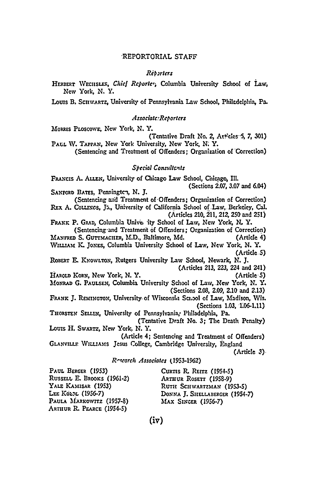# REPORTORIAL STAFF

#### Réborters

HERBERT WECHSLER, Chief Reporter, Columbia University School of Law, New York, N.Y.

Louis B, SCHWARTZ, University of Pennsylvania Law School, Philadelphia, Pa.

#### Associate:Reporters

MORRIS PLOSCOWE, New York, N.Y.

(Tentative Draft No. 2, Articles 5, 7, 301) PAUL W. TAPPAN, New York University, New York, N. Y.

(Sentencing and Treatment of Offenders; Organization of Correction)

### Special Consultants

FRANCIS A. ALLEN, University of Chicago Law School, Chicago, Ill. (Sections 2.07, 3.07 and 6.04) SANFORD BATES, Penningten, N. J.

(Sentencing and Treatment of Offenders; Organization of Correction) REX A. COLLINGS, J., University of California School of Law, Berkeley, Cal. (Articles 210, 211, 212, 250 and 251)

FRANK P. GRAD, Columbia Unives ity School of Law, New York, N. Y. (Sentencing and Treatment of Offenders; Organization of Correction)

MANFRED S. GUTTMACHER, M.D., Baltimore, Md. (Article 4) WILLIAM K. JONES, Columbia University School of Law, New York, N. Y. (Article 5)

ROBERT E. KNOWLTON, Rutgers University Law School, Newark, N. J. (Articles 213, 223, 224 and 241)

HAROLD KORN, New York, N.Y.

(Article-5) MONRAD G. PAULSEN, Columbia University School of Law, New York, N. Y.

(Sections 2.08, 2.09, 2.10 and 2.13)

FRANK J. REMINGTON, University-of Wisconsin School of Law, Madison, Wis. (Sections 1.03, 1.06-1.11)

THORSTEN SELLIN, University of Pennsylvania, Philadelphia, Pa. (Tentative Draft No. 3; The Death Penalty)

Louis H. Swartz, New York, N.Y.

(Article 4; Sentencing and Treatment of Offenders) GLANVILLE WILLIAMS Jesus College, Cambridge University, England

(Article 3)

#### Research Associates (1953-1962)

PAUL BERGER (1953) RUSSELL E. BROOKS (1961-2) YALE KAMISAR (1953) LEE  $K$ <sub>0</sub>  $\lambda$ <sub>2</sub> (1956-7) PAULA MARKOWITZ (1957-8) ARTHUR R. PEARCE (1954-5)

CURTIS R. REITZ (1954-5) ARTHUR ROSETT (1958-9) RUTH SCHWARTZMAN (1953-5) DONNA J. SHELLABERGER (1954-7) MAX SINGER (1956-7)

 $(i\triangledown)$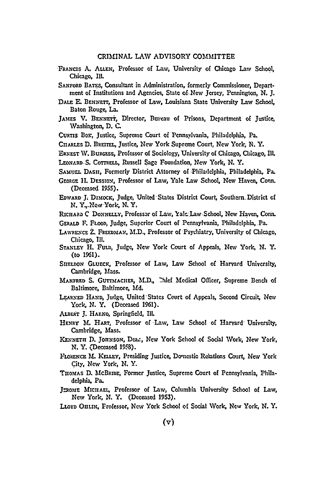## CRIMINAL LAW ADVISORY COMMITTEE

- FRANCIS A. ALLEN, Professor of Law, University of Chicago Law School, Chicago, **III.**
- **SANFORD BATES,** Consultant in Administration, formerly Commissioner, Department of Institutions and Agencies, State of New Jersey, Pennington, **N. J.**
- **DALE E. BENNEIT,** Professor of Lw, Louisiana State University Law School, Baton Rouge, **La.**
- JAMES V. BENNETT, Director, Rureau of Prisons, Department of Justice, Washington, D. **C.**
- **CURTIS** Bon, Justice, Supreme Court of Pennsylvania, Philadelphia, Pa.
- **CuARLES D. BREiTEL,** Justice, New York Supreme Court, New York, **N.** Y.
- **ERNEST NV. BURGESS,** Professor of Sociology, University of Chicago, Chicago, Ill. **LEON..RD** S. **CoTTRELL,** Russell Sage Foundation, New York, **N.** Y.
- **SAMUz.L DASH,** Formerly District Attorney of -Philadelphia, Philadelphia, Pa.
- GEORGE IL **DESSION,** Professor of Law, Yale Law School, New Haven, Conn. (Deceased 1955).
- **EDwARD- J** Dimocic, Judge, United-States District Court, Southern District **of N.** Y.,\_New York, **N.** *Y.*
- **RIcHARD C DONNELLY,** Professor of Law, kal. **Law** School, New Haven, Conn.
- **GERALD** F. FLOOD, Judge, Superior Court of Pennsylvania, Philadelphia, Pa.
- LAWRENCE **Z. FREEDMAN,** M.D., Professor of -Psychiatry, University of Chicago, Chicago, **Ill.**
- **STANLEY** H. FUL, Judge, New York Court of Appeals, New York, **N.** Y. (to 1961).
- **SHELDON** GLuEcx, Professor of Law, Law School of Harvard University, Cambridge, Mass.
- **MANFRED S. GUTTMACHER, M.D., Ihief Medical Officer, Supreme Bench of** Baltimore, Baltimore, Md.
- LEARNED **HAND,** Judge, United States Court of Appeals, Second Circuit, New York, N. Y. (Deceased 1961).
- ALBERT J. HARNO, Springfield, Ill.
- **HENRY** M. **HART,** Professor of Law, Law School of Harvard University, Cambridge, Mass.
- KENNETH D. JOHNSON, Dean, New York School of Social Work, New York, **N.** Y. (Deceased **19\$8).**
- **FLOkENCE M1. KELLEY,** Presiding Justice, Donestic Relations Court, New York City, New York, **N.** Y.
- **Tno.AS D. )b!cBRIDE,** Former Justice, Supreme Court of Pennsylvania, Philadelphia, Pa.
- JEROME MICHAEL, Professor of Law, Columbia University School of Law, New York, N. Y. (Deceased 1953).
- **LLOYD** OHLIN, Professor, New York School of Social Work, New York, **N.** Y.